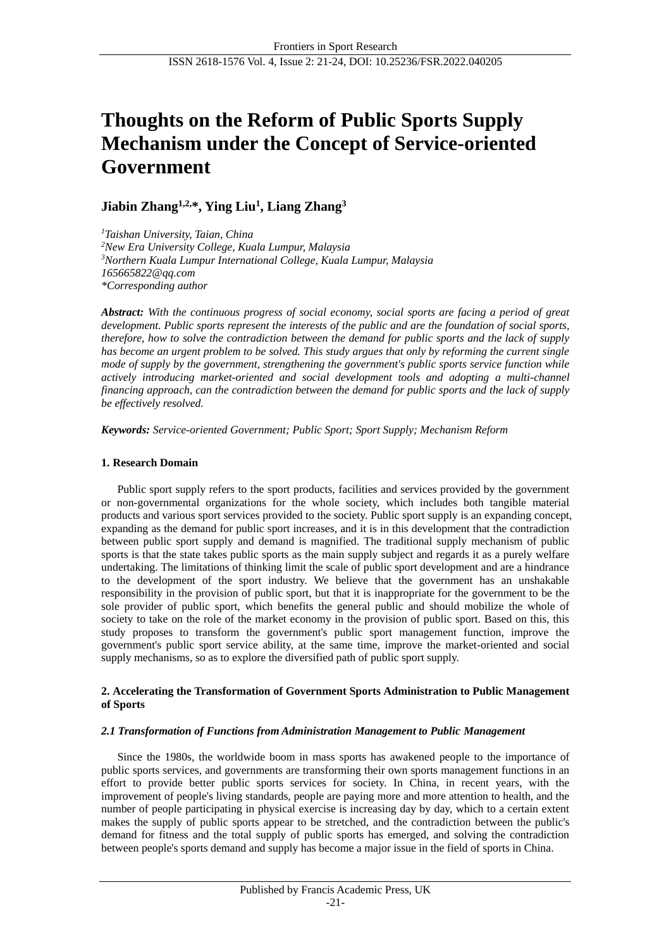# **Thoughts on the Reform of Public Sports Supply Mechanism under the Concept of Service-oriented Government**

**Jiabin Zhang1,2,\*, Ying Liu<sup>1</sup> , Liang Zhang<sup>3</sup>**

*<sup>1</sup>Taishan University, Taian, China <sup>2</sup>New Era University College, Kuala Lumpur, Malaysia <sup>3</sup>Northern Kuala Lumpur International College, Kuala Lumpur, Malaysia 165665822@qq.com \*Corresponding author*

*Abstract: With the continuous progress of social economy, social sports are facing a period of great development. Public sports represent the interests of the public and are the foundation of social sports, therefore, how to solve the contradiction between the demand for public sports and the lack of supply has become an urgent problem to be solved. This study argues that only by reforming the current single mode of supply by the government, strengthening the government's public sports service function while actively introducing market-oriented and social development tools and adopting a multi-channel financing approach, can the contradiction between the demand for public sports and the lack of supply be effectively resolved.*

*Keywords: Service-oriented Government; Public Sport; Sport Supply; Mechanism Reform*

## **1. Research Domain**

Public sport supply refers to the sport products, facilities and services provided by the government or non-governmental organizations for the whole society, which includes both tangible material products and various sport services provided to the society. Public sport supply is an expanding concept, expanding as the demand for public sport increases, and it is in this development that the contradiction between public sport supply and demand is magnified. The traditional supply mechanism of public sports is that the state takes public sports as the main supply subject and regards it as a purely welfare undertaking. The limitations of thinking limit the scale of public sport development and are a hindrance to the development of the sport industry. We believe that the government has an unshakable responsibility in the provision of public sport, but that it is inappropriate for the government to be the sole provider of public sport, which benefits the general public and should mobilize the whole of society to take on the role of the market economy in the provision of public sport. Based on this, this study proposes to transform the government's public sport management function, improve the government's public sport service ability, at the same time, improve the market-oriented and social supply mechanisms, so as to explore the diversified path of public sport supply.

#### **2. Accelerating the Transformation of Government Sports Administration to Public Management of Sports**

#### *2.1 Transformation of Functions from Administration Management to Public Management*

Since the 1980s, the worldwide boom in mass sports has awakened people to the importance of public sports services, and governments are transforming their own sports management functions in an effort to provide better public sports services for society. In China, in recent years, with the improvement of people's living standards, people are paying more and more attention to health, and the number of people participating in physical exercise is increasing day by day, which to a certain extent makes the supply of public sports appear to be stretched, and the contradiction between the public's demand for fitness and the total supply of public sports has emerged, and solving the contradiction between people's sports demand and supply has become a major issue in the field of sports in China.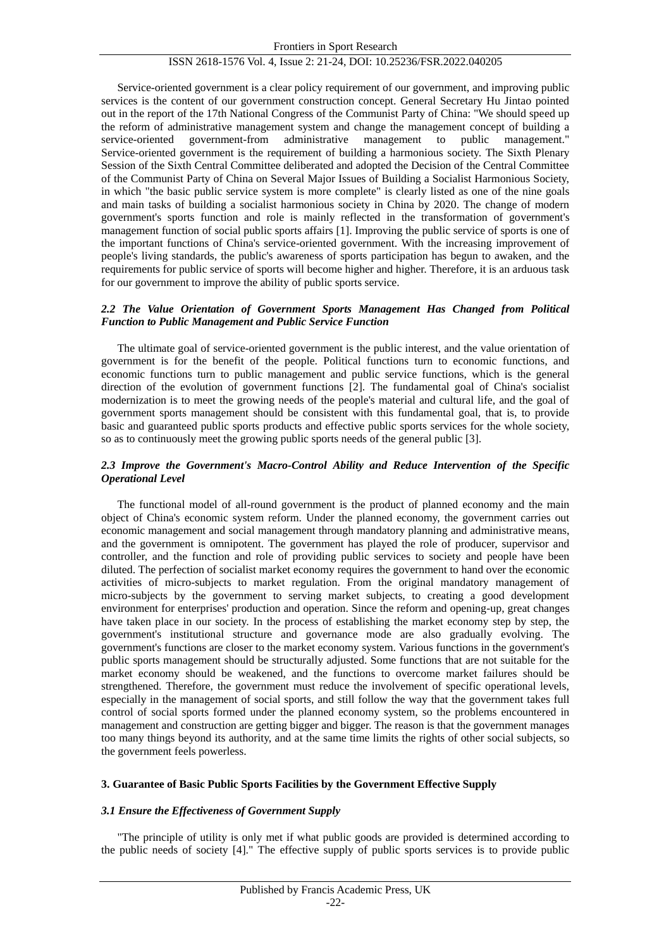#### ISSN 2618-1576 Vol. 4, Issue 2: 21-24, DOI: 10.25236/FSR.2022.040205

Service-oriented government is a clear policy requirement of our government, and improving public services is the content of our government construction concept. General Secretary Hu Jintao pointed out in the report of the 17th National Congress of the Communist Party of China: "We should speed up the reform of administrative management system and change the management concept of building a service-oriented government-from administrative management to public management." Service-oriented government is the requirement of building a harmonious society. The Sixth Plenary Session of the Sixth Central Committee deliberated and adopted the Decision of the Central Committee of the Communist Party of China on Several Major Issues of Building a Socialist Harmonious Society, in which "the basic public service system is more complete" is clearly listed as one of the nine goals and main tasks of building a socialist harmonious society in China by 2020. The change of modern government's sports function and role is mainly reflected in the transformation of government's management function of social public sports affairs [1]. Improving the public service of sports is one of the important functions of China's service-oriented government. With the increasing improvement of people's living standards, the public's awareness of sports participation has begun to awaken, and the requirements for public service of sports will become higher and higher. Therefore, it is an arduous task for our government to improve the ability of public sports service.

#### *2.2 The Value Orientation of Government Sports Management Has Changed from Political Function to Public Management and Public Service Function*

The ultimate goal of service-oriented government is the public interest, and the value orientation of government is for the benefit of the people. Political functions turn to economic functions, and economic functions turn to public management and public service functions, which is the general direction of the evolution of government functions [2]. The fundamental goal of China's socialist modernization is to meet the growing needs of the people's material and cultural life, and the goal of government sports management should be consistent with this fundamental goal, that is, to provide basic and guaranteed public sports products and effective public sports services for the whole society, so as to continuously meet the growing public sports needs of the general public [3].

### *2.3 Improve the Government's Macro-Control Ability and Reduce Intervention of the Specific Operational Level*

The functional model of all-round government is the product of planned economy and the main object of China's economic system reform. Under the planned economy, the government carries out economic management and social management through mandatory planning and administrative means, and the government is omnipotent. The government has played the role of producer, supervisor and controller, and the function and role of providing public services to society and people have been diluted. The perfection of socialist market economy requires the government to hand over the economic activities of micro-subjects to market regulation. From the original mandatory management of micro-subjects by the government to serving market subjects, to creating a good development environment for enterprises' production and operation. Since the reform and opening-up, great changes have taken place in our society. In the process of establishing the market economy step by step, the government's institutional structure and governance mode are also gradually evolving. The government's functions are closer to the market economy system. Various functions in the government's public sports management should be structurally adjusted. Some functions that are not suitable for the market economy should be weakened, and the functions to overcome market failures should be strengthened. Therefore, the government must reduce the involvement of specific operational levels, especially in the management of social sports, and still follow the way that the government takes full control of social sports formed under the planned economy system, so the problems encountered in management and construction are getting bigger and bigger. The reason is that the government manages too many things beyond its authority, and at the same time limits the rights of other social subjects, so the government feels powerless.

#### **3. Guarantee of Basic Public Sports Facilities by the Government Effective Supply**

#### *3.1 Ensure the Effectiveness of Government Supply*

"The principle of utility is only met if what public goods are provided is determined according to the public needs of society [4]." The effective supply of public sports services is to provide public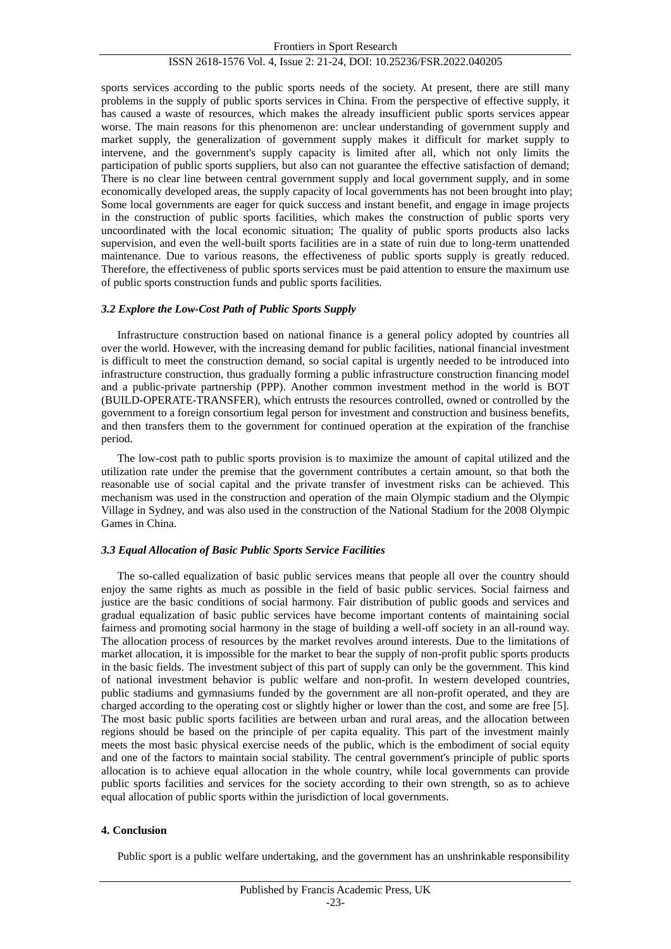#### ISSN 2618-1576 Vol. 4, Issue 2: 21-24, DOI: 10.25236/FSR.2022.040205

sports services according to the public sports needs of the society. At present, there are still many problems in the supply of public sports services in China. From the perspective of effective supply, it has caused a waste of resources, which makes the already insufficient public sports services appear worse. The main reasons for this phenomenon are: unclear understanding of government supply and market supply, the generalization of government supply makes it difficult for market supply to intervene, and the government's supply capacity is limited after all, which not only limits the participation of public sports suppliers, but also can not guarantee the effective satisfaction of demand; There is no clear line between central government supply and local government supply, and in some economically developed areas, the supply capacity of local governments has not been brought into play; Some local governments are eager for quick success and instant benefit, and engage in image projects in the construction of public sports facilities, which makes the construction of public sports very uncoordinated with the local economic situation; The quality of public sports products also lacks supervision, and even the well-built sports facilities are in a state of ruin due to long-term unattended maintenance. Due to various reasons, the effectiveness of public sports supply is greatly reduced. Therefore, the effectiveness of public sports services must be paid attention to ensure the maximum use of public sports construction funds and public sports facilities.

#### *3.2 Explore the Low-Cost Path of Public Sports Supply*

Infrastructure construction based on national finance is a general policy adopted by countries all over the world. However, with the increasing demand for public facilities, national financial investment is difficult to meet the construction demand, so social capital is urgently needed to be introduced into infrastructure construction, thus gradually forming a public infrastructure construction financing model and a public-private partnership (PPP). Another common investment method in the world is BOT (BUILD-OPERATE-TRANSFER), which entrusts the resources controlled, owned or controlled by the government to a foreign consortium legal person for investment and construction and business benefits, and then transfers them to the government for continued operation at the expiration of the franchise period.

The low-cost path to public sports provision is to maximize the amount of capital utilized and the utilization rate under the premise that the government contributes a certain amount, so that both the reasonable use of social capital and the private transfer of investment risks can be achieved. This mechanism was used in the construction and operation of the main Olympic stadium and the Olympic Village in Sydney, and was also used in the construction of the National Stadium for the 2008 Olympic Games in China.

### *3.3 Equal Allocation of Basic Public Sports Service Facilities*

The so-called equalization of basic public services means that people all over the country should enjoy the same rights as much as possible in the field of basic public services. Social fairness and justice are the basic conditions of social harmony. Fair distribution of public goods and services and gradual equalization of basic public services have become important contents of maintaining social fairness and promoting social harmony in the stage of building a well-off society in an all-round way. The allocation process of resources by the market revolves around interests. Due to the limitations of market allocation, it is impossible for the market to bear the supply of non-profit public sports products in the basic fields. The investment subject of this part of supply can only be the government. This kind of national investment behavior is public welfare and non-profit. In western developed countries, public stadiums and gymnasiums funded by the government are all non-profit operated, and they are charged according to the operating cost or slightly higher or lower than the cost, and some are free [5]. The most basic public sports facilities are between urban and rural areas, and the allocation between regions should be based on the principle of per capita equality. This part of the investment mainly meets the most basic physical exercise needs of the public, which is the embodiment of social equity and one of the factors to maintain social stability. The central government's principle of public sports allocation is to achieve equal allocation in the whole country, while local governments can provide public sports facilities and services for the society according to their own strength, so as to achieve equal allocation of public sports within the jurisdiction of local governments.

#### **4. Conclusion**

Public sport is a public welfare undertaking, and the government has an unshrinkable responsibility